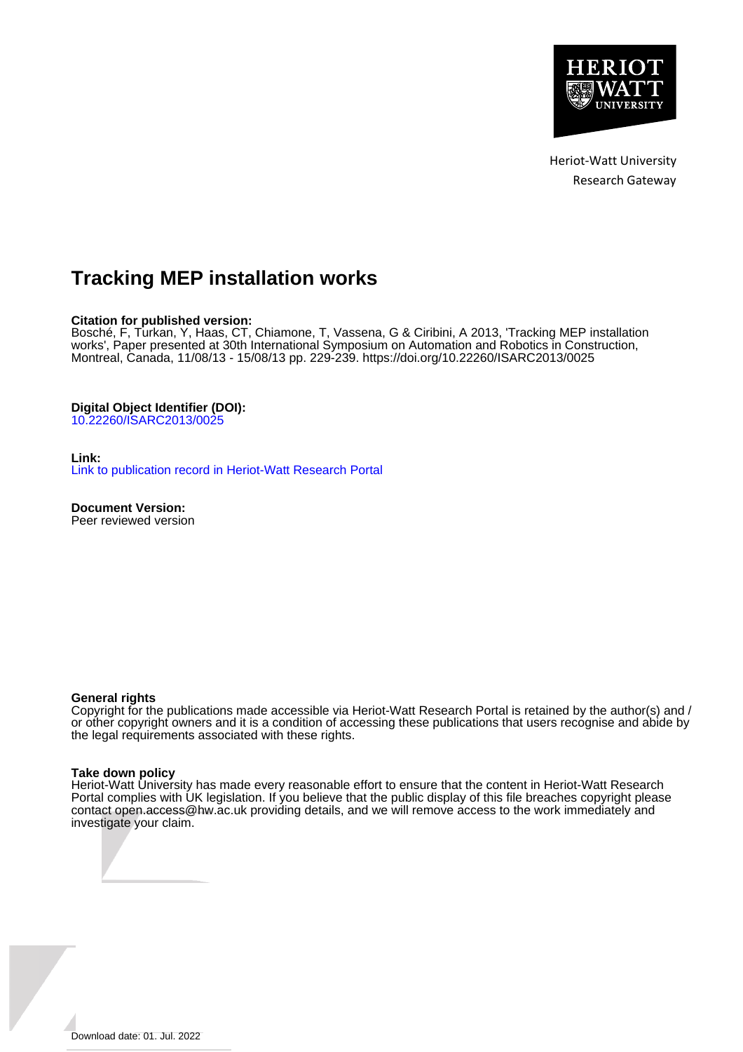

Heriot-Watt University Research Gateway

# **Tracking MEP installation works**

## **Citation for published version:**

Bosché, F, Turkan, Y, Haas, CT, Chiamone, T, Vassena, G & Ciribini, A 2013, 'Tracking MEP installation works', Paper presented at 30th International Symposium on Automation and Robotics in Construction, Montreal, Canada, 11/08/13 - 15/08/13 pp. 229-239.<https://doi.org/10.22260/ISARC2013/0025>

## **Digital Object Identifier (DOI):**

[10.22260/ISARC2013/0025](https://doi.org/10.22260/ISARC2013/0025)

## **Link:**

[Link to publication record in Heriot-Watt Research Portal](https://researchportal.hw.ac.uk/en/publications/b50f8227-2ef4-4fb2-95bb-1e9941714ddb)

**Document Version:** Peer reviewed version

## **General rights**

Copyright for the publications made accessible via Heriot-Watt Research Portal is retained by the author(s) and / or other copyright owners and it is a condition of accessing these publications that users recognise and abide by the legal requirements associated with these rights.

## **Take down policy**

Heriot-Watt University has made every reasonable effort to ensure that the content in Heriot-Watt Research Portal complies with UK legislation. If you believe that the public display of this file breaches copyright please contact open.access@hw.ac.uk providing details, and we will remove access to the work immediately and investigate your claim.

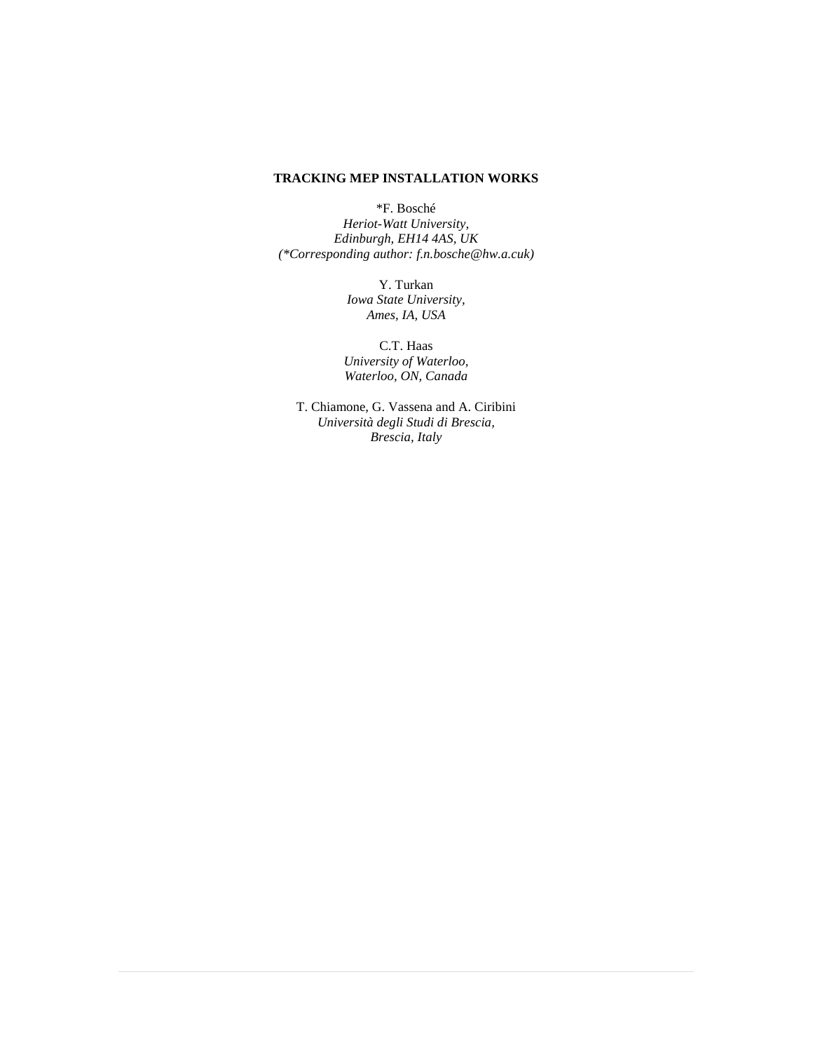# **TRACKING MEP INSTALLATION WORKS**

\*F. Bosché

*Heriot-Watt University, Edinburgh, EH14 4AS, UK (\*Corresponding author: f.n.bosche@hw.a.cuk)*

> Y. Turkan *Iowa State University, Ames, IA, USA*

C.T. Haas *University of Waterloo, Waterloo, ON, Canada*

T. Chiamone, G. Vassena and A. Ciribini *Università degli Studi di Brescia, Brescia, Italy*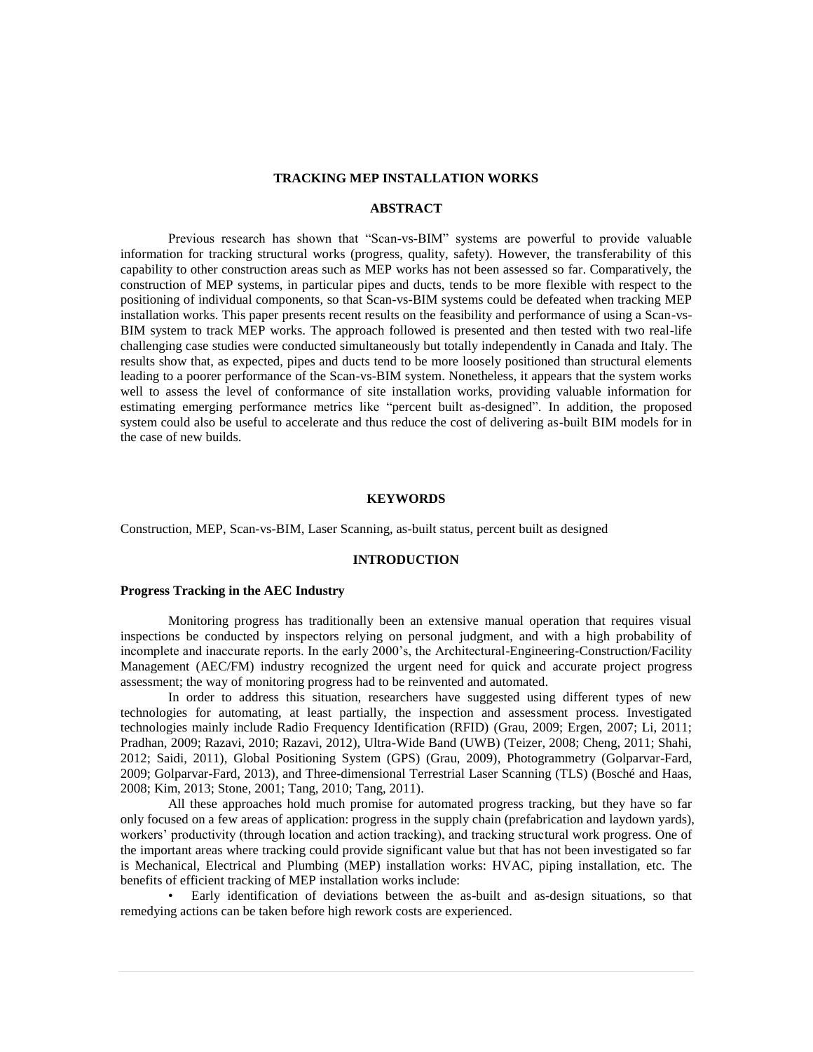## **TRACKING MEP INSTALLATION WORKS**

## **ABSTRACT**

Previous research has shown that "Scan-vs-BIM" systems are powerful to provide valuable information for tracking structural works (progress, quality, safety). However, the transferability of this capability to other construction areas such as MEP works has not been assessed so far. Comparatively, the construction of MEP systems, in particular pipes and ducts, tends to be more flexible with respect to the positioning of individual components, so that Scan-vs-BIM systems could be defeated when tracking MEP installation works. This paper presents recent results on the feasibility and performance of using a Scan-vs-BIM system to track MEP works. The approach followed is presented and then tested with two real-life challenging case studies were conducted simultaneously but totally independently in Canada and Italy. The results show that, as expected, pipes and ducts tend to be more loosely positioned than structural elements leading to a poorer performance of the Scan-vs-BIM system. Nonetheless, it appears that the system works well to assess the level of conformance of site installation works, providing valuable information for estimating emerging performance metrics like "percent built as-designed". In addition, the proposed system could also be useful to accelerate and thus reduce the cost of delivering as-built BIM models for in the case of new builds.

## **KEYWORDS**

Construction, MEP, Scan-vs-BIM, Laser Scanning, as-built status, percent built as designed

## **INTRODUCTION**

## **Progress Tracking in the AEC Industry**

Monitoring progress has traditionally been an extensive manual operation that requires visual inspections be conducted by inspectors relying on personal judgment, and with a high probability of incomplete and inaccurate reports. In the early 2000's, the Architectural-Engineering-Construction/Facility Management (AEC/FM) industry recognized the urgent need for quick and accurate project progress assessment; the way of monitoring progress had to be reinvented and automated.

In order to address this situation, researchers have suggested using different types of new technologies for automating, at least partially, the inspection and assessment process. Investigated technologies mainly include Radio Frequency Identification (RFID) (Grau, 2009; Ergen, 2007; Li, 2011; Pradhan, 2009; Razavi, 2010; Razavi, 2012), Ultra-Wide Band (UWB) (Teizer, 2008; Cheng, 2011; Shahi, 2012; Saidi, 2011), Global Positioning System (GPS) (Grau, 2009), Photogrammetry (Golparvar-Fard, 2009; Golparvar-Fard, 2013), and Three-dimensional Terrestrial Laser Scanning (TLS) (Bosché and Haas, 2008; Kim, 2013; Stone, 2001; Tang, 2010; Tang, 2011).

All these approaches hold much promise for automated progress tracking, but they have so far only focused on a few areas of application: progress in the supply chain (prefabrication and laydown yards), workers' productivity (through location and action tracking), and tracking structural work progress. One of the important areas where tracking could provide significant value but that has not been investigated so far is Mechanical, Electrical and Plumbing (MEP) installation works: HVAC, piping installation, etc. The benefits of efficient tracking of MEP installation works include:

• Early identification of deviations between the as-built and as-design situations, so that remedying actions can be taken before high rework costs are experienced.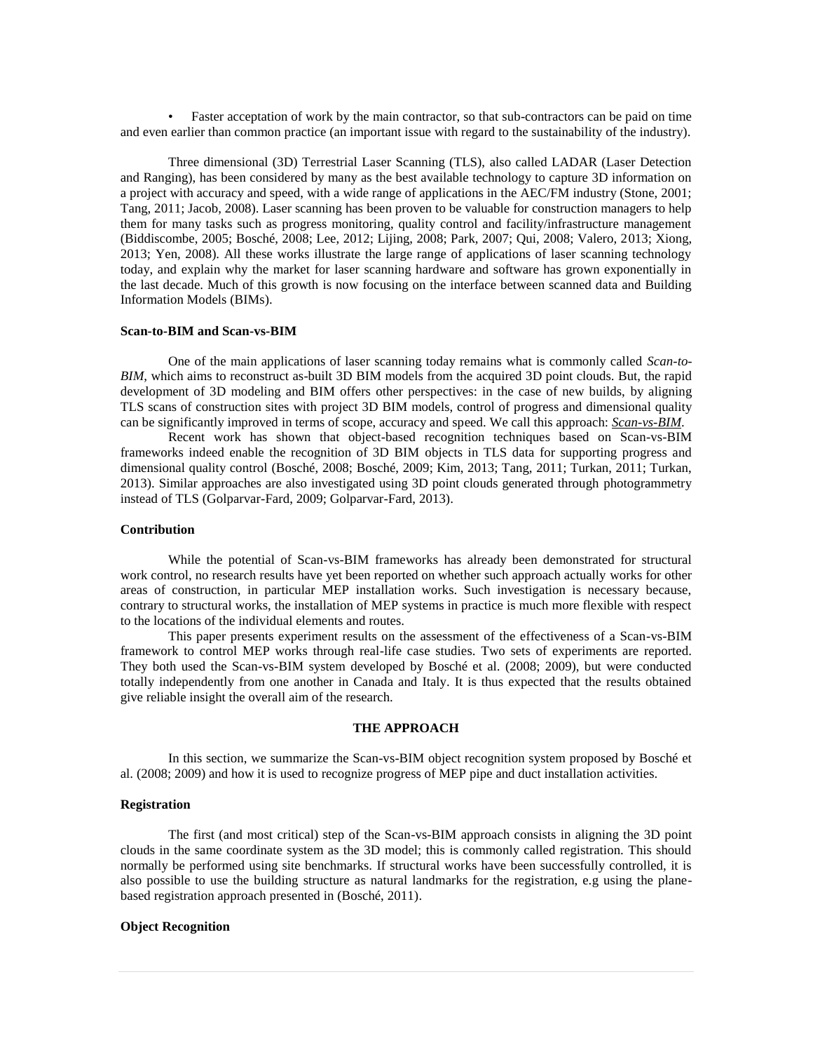• Faster acceptation of work by the main contractor, so that sub-contractors can be paid on time and even earlier than common practice (an important issue with regard to the sustainability of the industry).

Three dimensional (3D) Terrestrial Laser Scanning (TLS), also called LADAR (Laser Detection and Ranging), has been considered by many as the best available technology to capture 3D information on a project with accuracy and speed, with a wide range of applications in the AEC/FM industry (Stone, 2001; Tang, 2011; Jacob, 2008). Laser scanning has been proven to be valuable for construction managers to help them for many tasks such as progress monitoring, quality control and facility/infrastructure management (Biddiscombe, 2005; Bosché, 2008; Lee, 2012; Lijing, 2008; Park, 2007; Qui, 2008; Valero, 2013; Xiong, 2013; Yen, 2008). All these works illustrate the large range of applications of laser scanning technology today, and explain why the market for laser scanning hardware and software has grown exponentially in the last decade. Much of this growth is now focusing on the interface between scanned data and Building Information Models (BIMs).

#### **Scan-to-BIM and Scan-vs-BIM**

One of the main applications of laser scanning today remains what is commonly called *Scan-to-BIM*, which aims to reconstruct as-built 3D BIM models from the acquired 3D point clouds. But, the rapid development of 3D modeling and BIM offers other perspectives: in the case of new builds, by aligning TLS scans of construction sites with project 3D BIM models, control of progress and dimensional quality can be significantly improved in terms of scope, accuracy and speed. We call this approach: *Scan-vs-BIM*.

Recent work has shown that object-based recognition techniques based on Scan-vs-BIM frameworks indeed enable the recognition of 3D BIM objects in TLS data for supporting progress and dimensional quality control (Bosché, 2008; Bosché, 2009; Kim, 2013; Tang, 2011; Turkan, 2011; Turkan, 2013). Similar approaches are also investigated using 3D point clouds generated through photogrammetry instead of TLS (Golparvar-Fard, 2009; Golparvar-Fard, 2013).

#### **Contribution**

While the potential of Scan-vs-BIM frameworks has already been demonstrated for structural work control, no research results have yet been reported on whether such approach actually works for other areas of construction, in particular MEP installation works. Such investigation is necessary because, contrary to structural works, the installation of MEP systems in practice is much more flexible with respect to the locations of the individual elements and routes.

This paper presents experiment results on the assessment of the effectiveness of a Scan-vs-BIM framework to control MEP works through real-life case studies. Two sets of experiments are reported. They both used the Scan-vs-BIM system developed by Bosché et al. (2008; 2009), but were conducted totally independently from one another in Canada and Italy. It is thus expected that the results obtained give reliable insight the overall aim of the research.

## **THE APPROACH**

In this section, we summarize the Scan-vs-BIM object recognition system proposed by Bosché et al. (2008; 2009) and how it is used to recognize progress of MEP pipe and duct installation activities.

## **Registration**

The first (and most critical) step of the Scan-vs-BIM approach consists in aligning the 3D point clouds in the same coordinate system as the 3D model; this is commonly called registration. This should normally be performed using site benchmarks. If structural works have been successfully controlled, it is also possible to use the building structure as natural landmarks for the registration, e.g using the planebased registration approach presented in (Bosché, 2011).

## **Object Recognition**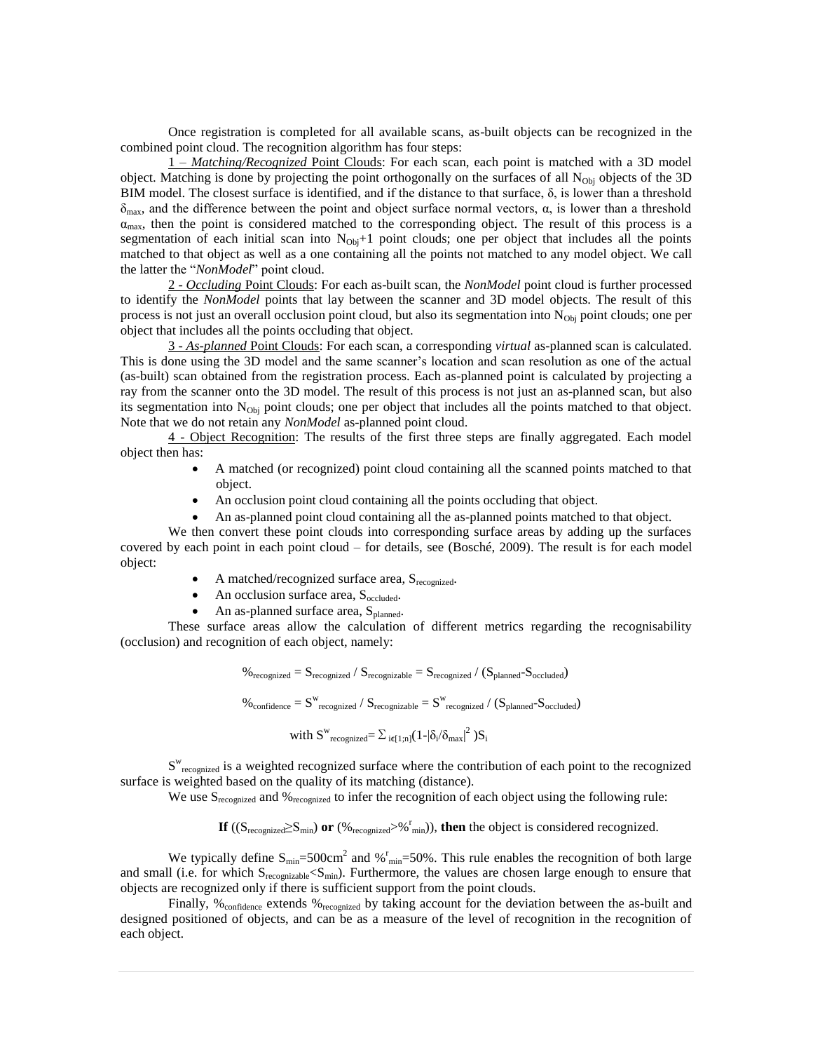Once registration is completed for all available scans, as-built objects can be recognized in the combined point cloud. The recognition algorithm has four steps:

1 – *Matching/Recognized* Point Clouds: For each scan, each point is matched with a 3D model object. Matching is done by projecting the point orthogonally on the surfaces of all  $N_{\text{Obj}}$  objects of the 3D BIM model. The closest surface is identified, and if the distance to that surface,  $\delta$ , is lower than a threshold  $\delta_{\text{max}}$ , and the difference between the point and object surface normal vectors,  $\alpha$ , is lower than a threshold  $\alpha_{\text{max}}$ , then the point is considered matched to the corresponding object. The result of this process is a segmentation of each initial scan into  $N_{\text{Obj}}+1$  point clouds; one per object that includes all the points matched to that object as well as a one containing all the points not matched to any model object. We call the latter the "*NonModel*" point cloud.

2 - *Occluding* Point Clouds: For each as-built scan, the *NonModel* point cloud is further processed to identify the *NonModel* points that lay between the scanner and 3D model objects. The result of this process is not just an overall occlusion point cloud, but also its segmentation into  $N_{\text{Obj}}$  point clouds; one per object that includes all the points occluding that object.

3 - *As-planned* Point Clouds: For each scan, a corresponding *virtual* as-planned scan is calculated. This is done using the 3D model and the same scanner's location and scan resolution as one of the actual (as-built) scan obtained from the registration process. Each as-planned point is calculated by projecting a ray from the scanner onto the 3D model. The result of this process is not just an as-planned scan, but also its segmentation into  $N_{Obj}$  point clouds; one per object that includes all the points matched to that object. Note that we do not retain any *NonModel* as-planned point cloud.

4 - Object Recognition: The results of the first three steps are finally aggregated. Each model object then has:

- A matched (or recognized) point cloud containing all the scanned points matched to that object.
- An occlusion point cloud containing all the points occluding that object.
- An as-planned point cloud containing all the as-planned points matched to that object.

We then convert these point clouds into corresponding surface areas by adding up the surfaces covered by each point in each point cloud – for details, see (Bosché, 2009). The result is for each model object:

- $\bullet$  A matched/recognized surface area,  $S_{recognized}$ .
- An occlusion surface area,  $S_{\text{occluded}}$ .
- $\bullet$  An as-planned surface area,  $S_{planned}$ .

These surface areas allow the calculation of different metrics regarding the recognisability (occlusion) and recognition of each object, namely:

$$
\%_{recognized} = S_{recognized} / S_{recognizable} = S_{recognized} / (S_{planned} - S_{occluded})
$$
  

$$
\%_{confidence} = S^{w}_{recognized} / S_{recognizable} = S^{w}_{recognized} / (S_{planned} - S_{occluded})
$$
  
with 
$$
S^{w}_{recognized} = \sum_{i \in [1;n]} (1 - |\delta_i/\delta_{max}|^2) S_i
$$

S<sup>w</sup><sub>recognized</sub> is a weighted recognized surface where the contribution of each point to the recognized surface is weighted based on the quality of its matching (distance).

We use S<sub>recognized</sub> and %<sub>recognized</sub> to infer the recognition of each object using the following rule:

**If** (( $S_{\text{recompized}} \ge S_{\text{min}}$ ) **or** (% $_{\text{recompized}} > %$ <sup>r</sup><sub>min</sub>)), **then** the object is considered recognized.

We typically define  $S_{\text{min}} = 500 \text{cm}^2$  and  $\%_{\text{min}} = 50\%$ . This rule enables the recognition of both large and small (i.e. for which S<sub>recognizable</sub><S<sub>min</sub>). Furthermore, the values are chosen large enough to ensure that objects are recognized only if there is sufficient support from the point clouds.

Finally, %<sub>confidence</sub> extends %<sub>recognized</sub> by taking account for the deviation between the as-built and designed positioned of objects, and can be as a measure of the level of recognition in the recognition of each object.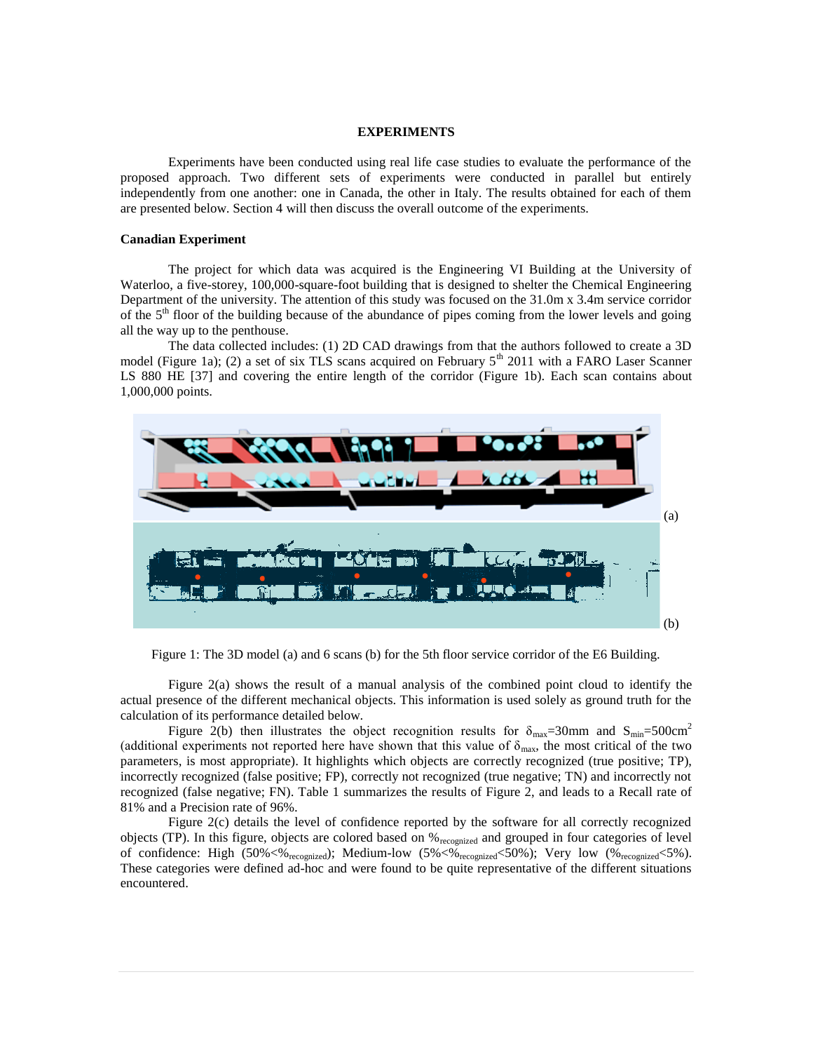#### **EXPERIMENTS**

Experiments have been conducted using real life case studies to evaluate the performance of the proposed approach. Two different sets of experiments were conducted in parallel but entirely independently from one another: one in Canada, the other in Italy. The results obtained for each of them are presented below. Section 4 will then discuss the overall outcome of the experiments.

## **Canadian Experiment**

The project for which data was acquired is the Engineering VI Building at the University of Waterloo, a five-storey, 100,000-square-foot building that is designed to shelter the Chemical Engineering Department of the university. The attention of this study was focused on the 31.0m x 3.4m service corridor of the 5th floor of the building because of the abundance of pipes coming from the lower levels and going all the way up to the penthouse.

The data collected includes: (1) 2D CAD drawings from that the authors followed to create a 3D model (Figure 1a); (2) a set of six TLS scans acquired on February  $5<sup>th</sup>$  2011 with a FARO Laser Scanner LS 880 HE [37] and covering the entire length of the corridor (Figure 1b). Each scan contains about 1,000,000 points.



Figure 1: The 3D model (a) and 6 scans (b) for the 5th floor service corridor of the E6 Building.

Figure 2(a) shows the result of a manual analysis of the combined point cloud to identify the actual presence of the different mechanical objects. This information is used solely as ground truth for the calculation of its performance detailed below.

Figure 2(b) then illustrates the object recognition results for  $\delta_{\text{max}}=30$ mm and  $S_{\text{min}}=500$ cm<sup>2</sup> (additional experiments not reported here have shown that this value of  $\delta_{\text{max}}$ , the most critical of the two parameters, is most appropriate). It highlights which objects are correctly recognized (true positive; TP), incorrectly recognized (false positive; FP), correctly not recognized (true negative; TN) and incorrectly not recognized (false negative; FN). Table 1 summarizes the results of Figure 2, and leads to a Recall rate of 81% and a Precision rate of 96%.

Figure 2(c) details the level of confidence reported by the software for all correctly recognized objects (TP). In this figure, objects are colored based on %recognized and grouped in four categories of level of confidence: High  $(50\% < \frac{1}{2}$  recognized); Medium-low  $(5\% < \frac{1}{2}$  recognized $(50\%)$ ; Very low  $(\%_{recognized} < 5\%)$ . These categories were defined ad-hoc and were found to be quite representative of the different situations encountered.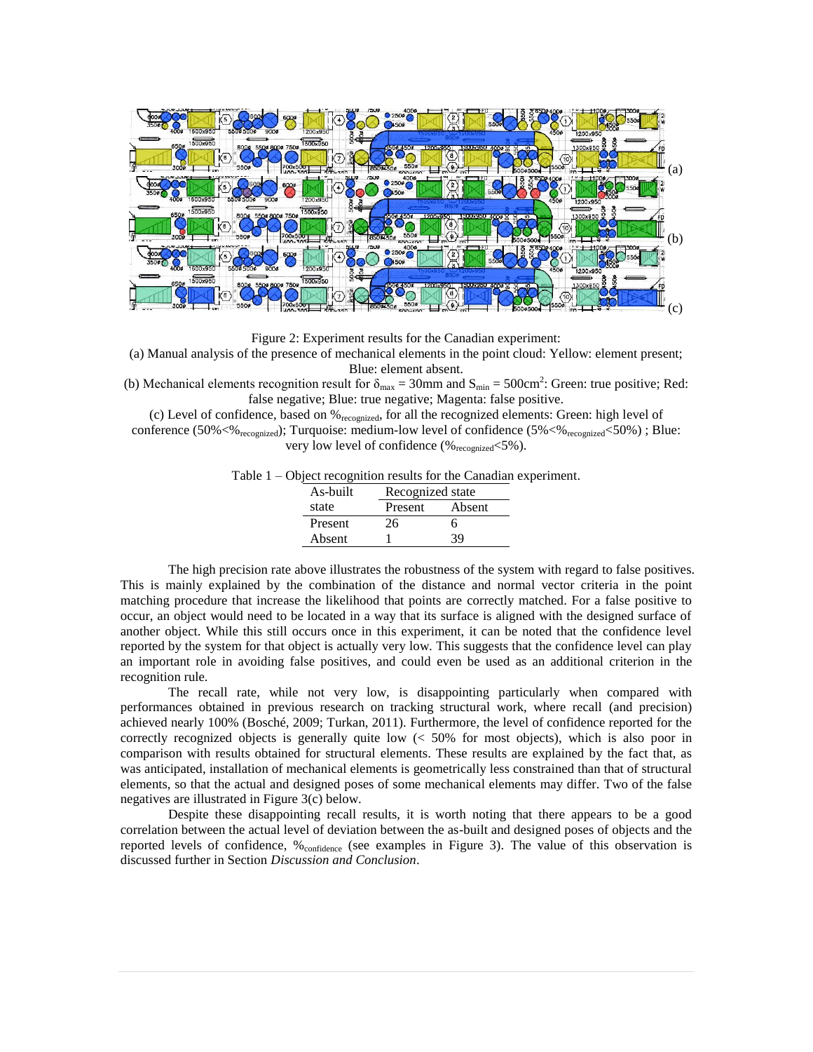

Figure 2: Experiment results for the Canadian experiment:

(a) Manual analysis of the presence of mechanical elements in the point cloud: Yellow: element present; Blue: element absent.

(b) Mechanical elements recognition result for  $\delta_{\text{max}} = 30$ mm and  $S_{\text{min}} = 500 \text{cm}^2$ : Green: true positive; Red: false negative; Blue: true negative; Magenta: false positive.

(c) Level of confidence, based on %recognized, for all the recognized elements: Green: high level of conference (50% $\ll$ %<sub>recognized</sub>); Turquoise: medium-low level of confidence (5% $\ll$ %<sub>recognized</sub> $\ll$ 50%) ; Blue: very low level of confidence  $(\%_{\text{recompized}} < 5\%)$ .

|  |  |  | Table 1 – Object recognition results for the Canadian experiment. |
|--|--|--|-------------------------------------------------------------------|
|  |  |  |                                                                   |

| As-built | Recognized state |        |  |  |
|----------|------------------|--------|--|--|
| state    | Present          | Absent |  |  |
| Present  | 26               | 6      |  |  |
| Absent   |                  | 39     |  |  |

The high precision rate above illustrates the robustness of the system with regard to false positives. This is mainly explained by the combination of the distance and normal vector criteria in the point matching procedure that increase the likelihood that points are correctly matched. For a false positive to occur, an object would need to be located in a way that its surface is aligned with the designed surface of another object. While this still occurs once in this experiment, it can be noted that the confidence level reported by the system for that object is actually very low. This suggests that the confidence level can play an important role in avoiding false positives, and could even be used as an additional criterion in the recognition rule.

The recall rate, while not very low, is disappointing particularly when compared with performances obtained in previous research on tracking structural work, where recall (and precision) achieved nearly 100% (Bosché, 2009; Turkan, 2011). Furthermore, the level of confidence reported for the correctly recognized objects is generally quite low  $\ll$  50% for most objects), which is also poor in comparison with results obtained for structural elements. These results are explained by the fact that, as was anticipated, installation of mechanical elements is geometrically less constrained than that of structural elements, so that the actual and designed poses of some mechanical elements may differ. Two of the false negatives are illustrated in Figure 3(c) below.

Despite these disappointing recall results, it is worth noting that there appears to be a good correlation between the actual level of deviation between the as-built and designed poses of objects and the reported levels of confidence, %confidence (see examples in Figure 3). The value of this observation is discussed further in Section *Discussion and Conclusion*.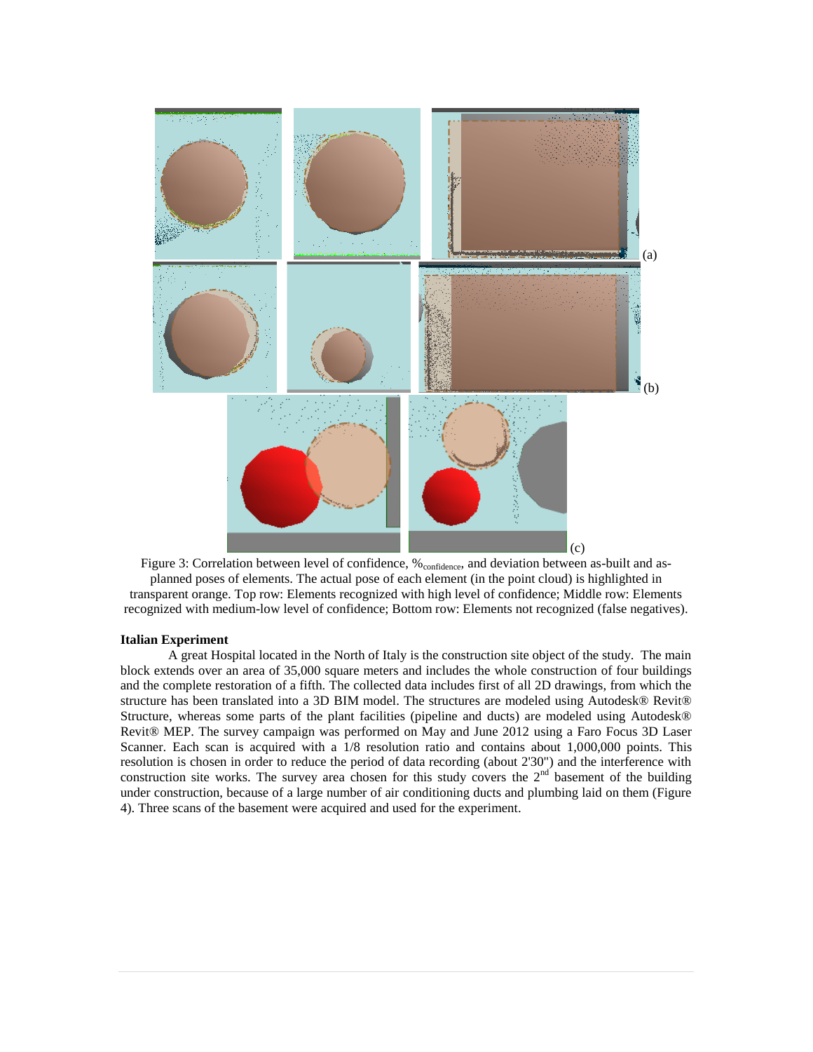

Figure 3: Correlation between level of confidence, % <sub>confidence</sub>, and deviation between as-built and asplanned poses of elements. The actual pose of each element (in the point cloud) is highlighted in transparent orange. Top row: Elements recognized with high level of confidence; Middle row: Elements recognized with medium-low level of confidence; Bottom row: Elements not recognized (false negatives).

#### **Italian Experiment**

A great Hospital located in the North of Italy is the construction site object of the study. The main block extends over an area of 35,000 square meters and includes the whole construction of four buildings and the complete restoration of a fifth. The collected data includes first of all 2D drawings, from which the structure has been translated into a 3D BIM model. The structures are modeled using Autodesk® Revit® Structure, whereas some parts of the plant facilities (pipeline and ducts) are modeled using Autodesk® Revit® MEP. The survey campaign was performed on May and June 2012 using a Faro Focus 3D Laser Scanner. Each scan is acquired with a 1/8 resolution ratio and contains about 1,000,000 points. This resolution is chosen in order to reduce the period of data recording (about 2'30") and the interference with construction site works. The survey area chosen for this study covers the  $2<sup>nd</sup>$  basement of the building under construction, because of a large number of air conditioning ducts and plumbing laid on them (Figure 4). Three scans of the basement were acquired and used for the experiment.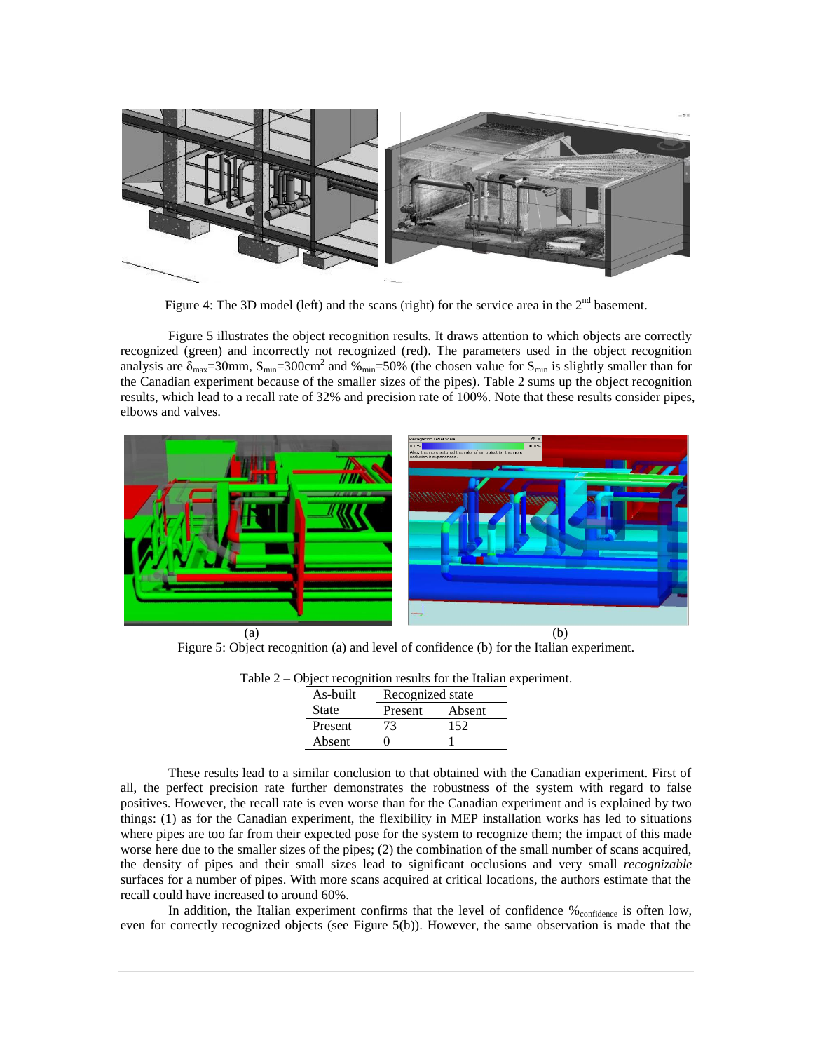

Figure 4: The 3D model (left) and the scans (right) for the service area in the  $2<sup>nd</sup>$  basement.

Figure 5 illustrates the object recognition results. It draws attention to which objects are correctly recognized (green) and incorrectly not recognized (red). The parameters used in the object recognition analysis are  $\delta_{\text{max}}$ =30mm,  $S_{\text{min}}$ =300cm<sup>2</sup> and %<sub>min</sub>=50% (the chosen value for  $S_{\text{min}}$  is slightly smaller than for the Canadian experiment because of the smaller sizes of the pipes). Table 2 sums up the object recognition results, which lead to a recall rate of 32% and precision rate of 100%. Note that these results consider pipes, elbows and valves.



Figure 5: Object recognition (a) and level of confidence (b) for the Italian experiment.

| $\epsilon$ – Object recognition results for the italian ex- |                  |        |  |  |  |  |  |
|-------------------------------------------------------------|------------------|--------|--|--|--|--|--|
| As-built                                                    | Recognized state |        |  |  |  |  |  |
| <b>State</b>                                                | Present          | Absent |  |  |  |  |  |
| Present                                                     | 73               | 152    |  |  |  |  |  |
| Absent                                                      |                  |        |  |  |  |  |  |

Table 2 – Object recognition results for the Italian experiment.

These results lead to a similar conclusion to that obtained with the Canadian experiment. First of all, the perfect precision rate further demonstrates the robustness of the system with regard to false positives. However, the recall rate is even worse than for the Canadian experiment and is explained by two things: (1) as for the Canadian experiment, the flexibility in MEP installation works has led to situations where pipes are too far from their expected pose for the system to recognize them; the impact of this made worse here due to the smaller sizes of the pipes; (2) the combination of the small number of scans acquired, the density of pipes and their small sizes lead to significant occlusions and very small *recognizable* surfaces for a number of pipes. With more scans acquired at critical locations, the authors estimate that the recall could have increased to around 60%.

In addition, the Italian experiment confirms that the level of confidence  $\%$  confidence is often low, even for correctly recognized objects (see Figure 5(b)). However, the same observation is made that the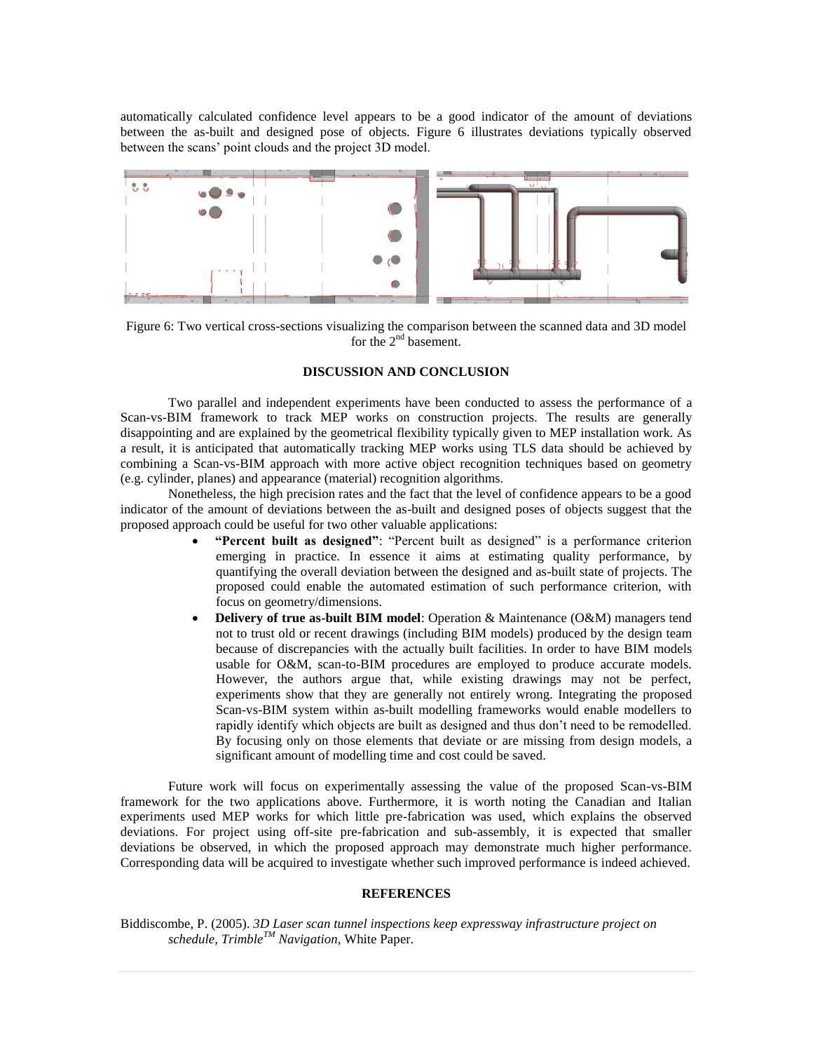automatically calculated confidence level appears to be a good indicator of the amount of deviations between the as-built and designed pose of objects. Figure 6 illustrates deviations typically observed between the scans' point clouds and the project 3D model.



Figure 6: Two vertical cross-sections visualizing the comparison between the scanned data and 3D model for the  $2<sup>nd</sup>$  basement.

## **DISCUSSION AND CONCLUSION**

Two parallel and independent experiments have been conducted to assess the performance of a Scan-vs-BIM framework to track MEP works on construction projects. The results are generally disappointing and are explained by the geometrical flexibility typically given to MEP installation work. As a result, it is anticipated that automatically tracking MEP works using TLS data should be achieved by combining a Scan-vs-BIM approach with more active object recognition techniques based on geometry (e.g. cylinder, planes) and appearance (material) recognition algorithms.

Nonetheless, the high precision rates and the fact that the level of confidence appears to be a good indicator of the amount of deviations between the as-built and designed poses of objects suggest that the proposed approach could be useful for two other valuable applications:

- **"Percent built as designed"**: "Percent built as designed" is a performance criterion emerging in practice. In essence it aims at estimating quality performance, by quantifying the overall deviation between the designed and as-built state of projects. The proposed could enable the automated estimation of such performance criterion, with focus on geometry/dimensions.
- **Delivery of true as-built BIM model**: Operation & Maintenance (O&M) managers tend not to trust old or recent drawings (including BIM models) produced by the design team because of discrepancies with the actually built facilities. In order to have BIM models usable for O&M, scan-to-BIM procedures are employed to produce accurate models. However, the authors argue that, while existing drawings may not be perfect, experiments show that they are generally not entirely wrong. Integrating the proposed Scan-vs-BIM system within as-built modelling frameworks would enable modellers to rapidly identify which objects are built as designed and thus don't need to be remodelled. By focusing only on those elements that deviate or are missing from design models, a significant amount of modelling time and cost could be saved.

Future work will focus on experimentally assessing the value of the proposed Scan-vs-BIM framework for the two applications above. Furthermore, it is worth noting the Canadian and Italian experiments used MEP works for which little pre-fabrication was used, which explains the observed deviations. For project using off-site pre-fabrication and sub-assembly, it is expected that smaller deviations be observed, in which the proposed approach may demonstrate much higher performance. Corresponding data will be acquired to investigate whether such improved performance is indeed achieved.

## **REFERENCES**

Biddiscombe, P. (2005). *3D Laser scan tunnel inspections keep expressway infrastructure project on schedule, TrimbleTM Navigation*, White Paper.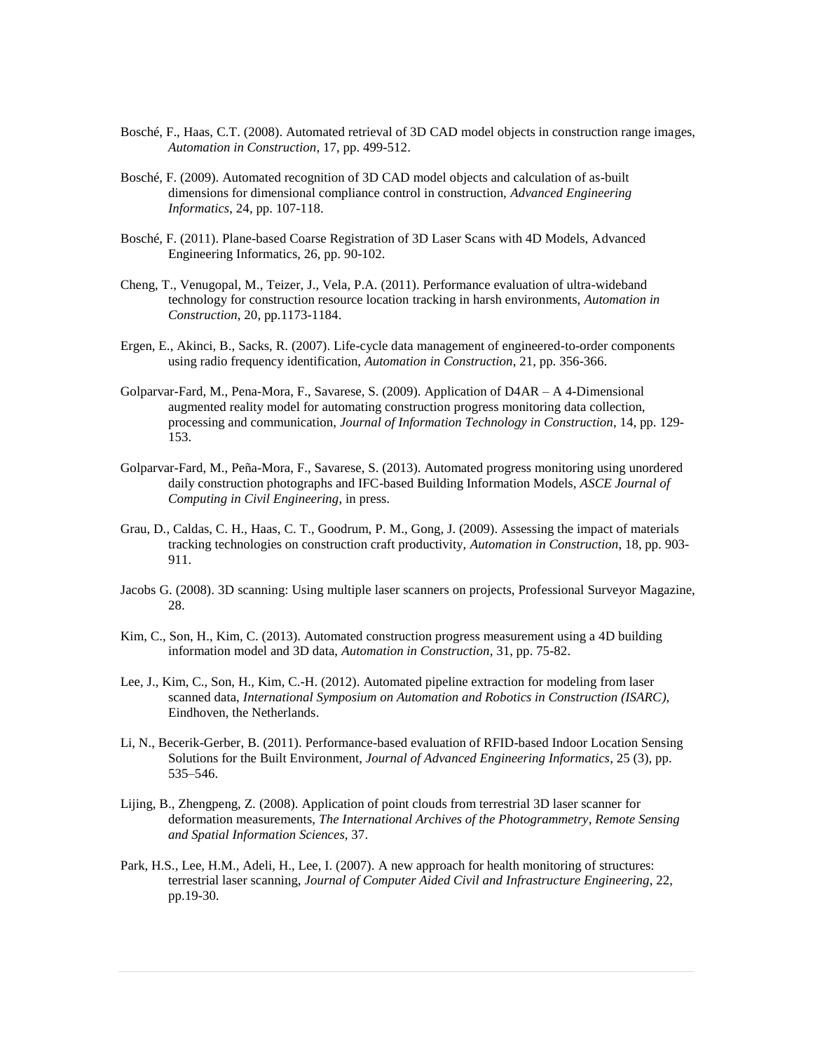- Bosché, F., Haas, C.T. (2008). Automated retrieval of 3D CAD model objects in construction range images, *Automation in Construction*, 17, pp. 499-512.
- Bosché, F. (2009). Automated recognition of 3D CAD model objects and calculation of as-built dimensions for dimensional compliance control in construction, *Advanced Engineering Informatics*, 24, pp. 107-118.
- Bosché, F. (2011). Plane-based Coarse Registration of 3D Laser Scans with 4D Models, Advanced Engineering Informatics, 26, pp. 90-102.
- Cheng, T., Venugopal, M., Teizer, J., Vela, P.A. (2011). Performance evaluation of ultra-wideband technology for construction resource location tracking in harsh environments, *Automation in Construction*, 20, pp.1173-1184.
- Ergen, E., Akinci, B., Sacks, R. (2007). Life-cycle data management of engineered-to-order components using radio frequency identification, *Automation in Construction*, 21, pp. 356-366.
- Golparvar-Fard, M., Pena-Mora, F., Savarese, S. (2009). Application of D4AR A 4-Dimensional augmented reality model for automating construction progress monitoring data collection, processing and communication, *Journal of Information Technology in Construction*, 14, pp. 129- 153.
- Golparvar-Fard, M., Peña-Mora, F., Savarese, S. (2013). Automated progress monitoring using unordered daily construction photographs and IFC-based Building Information Models, *ASCE Journal of Computing in Civil Engineering*, in press.
- Grau, D., Caldas, C. H., Haas, C. T., Goodrum, P. M., Gong, J. (2009). Assessing the impact of materials tracking technologies on construction craft productivity, *Automation in Construction*, 18, pp. 903- 911.
- Jacobs G. (2008). 3D scanning: Using multiple laser scanners on projects, Professional Surveyor Magazine, 28.
- Kim, C., Son, H., Kim, C. (2013). Automated construction progress measurement using a 4D building information model and 3D data, *Automation in Construction*, 31, pp. 75-82.
- Lee, J., Kim, C., Son, H., Kim, C.-H. (2012). Automated pipeline extraction for modeling from laser scanned data, *International Symposium on Automation and Robotics in Construction (ISARC)*, Eindhoven, the Netherlands.
- Li, N., Becerik-Gerber, B. (2011). Performance-based evaluation of RFID-based Indoor Location Sensing Solutions for the Built Environment, *Journal of Advanced Engineering Informatics*, 25 (3), pp. 535–546.
- Lijing, B., Zhengpeng, Z. (2008). Application of point clouds from terrestrial 3D laser scanner for deformation measurements, *The International Archives of the Photogrammetry, Remote Sensing and Spatial Information Sciences*, 37.
- Park, H.S., Lee, H.M., Adeli, H., Lee, I. (2007). A new approach for health monitoring of structures: terrestrial laser scanning, *Journal of Computer Aided Civil and Infrastructure Engineering*, 22, pp.19-30.